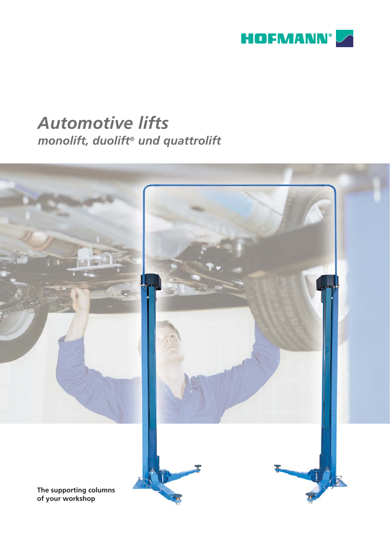

# *Automotive lifts monolift, duolift® und quattrolift*

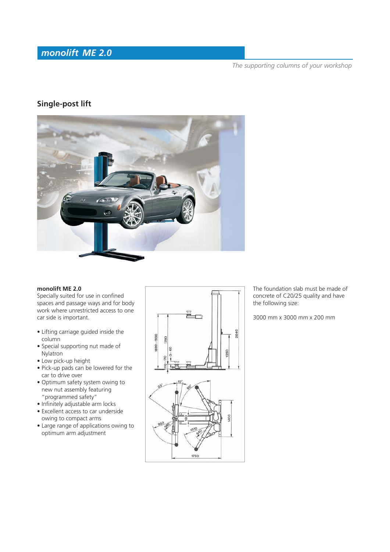# *monolift ME 2.0*

*The supporting columns of your workshop*

# **Single-post lift**



### **monolift ME 2.0**

Specially suited for use in confined spaces and passage ways and for body work where unrestricted access to one car side is important.

- Lifting carriage guided inside the column
- Special supporting nut made of Nylatron
- Low pick-up height
- Pick-up pads can be lowered for the car to drive over
- Optimum safety system owing to new nut assembly featuring "programmed safety"
- $\bullet$  Infinitely adjustable arm locks
- Excellent access to car underside owing to compact arms
- Large range of applications owing to optimum arm adjustment



The foundation slab must be made of concrete of C20/25 quality and have the following size:

3000 mm x 3000 mm x 200 mm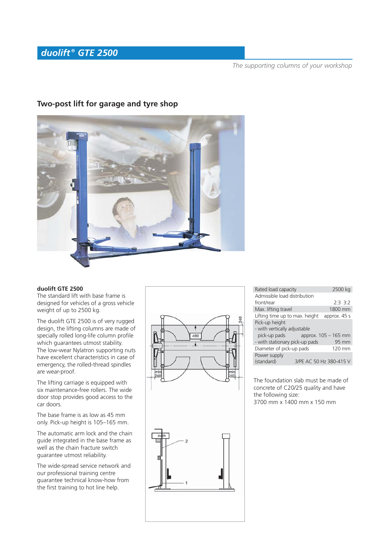# *duolift ® GTE 2500*

*The supporting columns of your workshop*



# **Two-post lift for garage and tyre shop**

#### **duolift GTE 2500**

The standard lift with base frame is designed for vehicles of a gross vehicle weight of up to 2500 kg.

The duolift GTE 2500 is of very rugged design, the lifting columns are made of specially rolled long-life column profile which guarantees utmost stability. The low-wear Nylatron supporting nuts have excellent characteristics in case of emergency, the rolled-thread spindles are wear-proof.

The lifting carriage is equipped with six maintenance-free rollers. The wide door stop provides good access to the car doors.

The base frame is as low as 45 mm only. Pick-up height is 105–165 mm.

The automatic arm lock and the chain guide integrated in the base frame as well as the chain fracture switch guarantee utmost reliability.

The wide-spread service network and our professional training centre guarantee technical know-how from the first training to hot line help.



| Rated load capacity            | 2500 kg                 |
|--------------------------------|-------------------------|
| Admissible load distribution   |                         |
| front/rear                     | 2:3.3:2                 |
| Max. lifting travel            | 1800 mm                 |
| Lifting time up to max. height | approx. 45 s            |
| Pick-up height                 |                         |
| - with vertically adjustable   |                         |
| pick-up pads                   | approx. 105 – 165 mm    |
| - with stationary pick-up pads | 95 mm                   |
| Diameter of pick-up pads       | $120 \text{ mm}$        |
| Power supply                   |                         |
| (standard)                     | 3/PE AC 50 Hz 380-415 V |

The foundation slab must be made of concrete of C20/25 quality and have the following size: 3700 mm x 1400 mm x 150 mm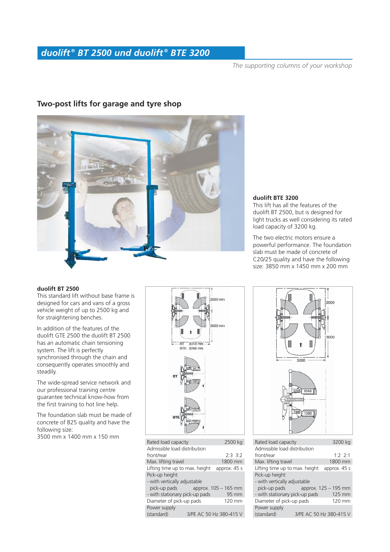# *duolift ® BT 2500 und duolift ® BTE 3200*

*The supporting columns of your workshop*

# **Two-post lifts for garage and tyre shop**

#### **duolift BTE 3200**

This lift has all the features of the duolift BT 2500, but is designed for light trucks as well considering its rated load capacity of 3200 kg.

The two electric motors ensure a powerful performance. The foundation slab must be made of concrete of C20/25 quality and have the following size: 3850 mm x 1450 mm x 200 mm

#### **duolift BT 2500**

This standard lift without base frame is designed for cars and vans of a gross vehicle weight of up to 2500 kg and for straightening benches.

In addition of the features of the duolift GTE 2500 the duolift BT 2500 has an automatic chain tensioning system. The lift is perfectly synchronised through the chain and consequently operates smoothly and steadily.

The wide-spread service network and our professional training centre guarantee technical know-how from the first training to hot line help.

The foundation slab must be made of concrete of B25 quality and have the following size:

3500 mm x 1400 mm x 150 mm



| Rated load capacity                     | 2500 kg |                         |  |  |
|-----------------------------------------|---------|-------------------------|--|--|
| Admissible load distribution            |         |                         |  |  |
| front/rear                              |         | 2.3.3.2                 |  |  |
| Max. lifting travel                     |         | 1800 mm                 |  |  |
| Lifting time up to max. height          |         | approx. 45 s            |  |  |
| Pick-up height                          |         |                         |  |  |
| - with vertically adjustable            |         |                         |  |  |
| pick-up pads                            |         | approx. 105 – 165 mm    |  |  |
| - with stationary pick-up pads<br>95 mm |         |                         |  |  |
| Diameter of pick-up pads                |         | $120 \text{ mm}$        |  |  |
| Power supply                            |         |                         |  |  |
| (standard)                              |         | 3/PE AC 50 Hz 380-415 V |  |  |
|                                         |         |                         |  |  |



| Rated load capacity            | 3200 kg                 |  |  |  |
|--------------------------------|-------------------------|--|--|--|
| Admissible load distribution   |                         |  |  |  |
| front/rear                     | $1.2$ $2.1$             |  |  |  |
| Max. lifting travel            | 1800 mm                 |  |  |  |
| Lifting time up to max. height | approx. 45 s            |  |  |  |
| Pick-up height                 |                         |  |  |  |
| - with vertically adjustable   |                         |  |  |  |
| pick-up pads                   | approx. 125 – 195 mm    |  |  |  |
| - with stationary pick-up pads | 125 mm                  |  |  |  |
| Diameter of pick-up pads       | 120 mm                  |  |  |  |
| Power supply                   |                         |  |  |  |
| (standard)                     | 3/PE AC 50 Hz 380-415 V |  |  |  |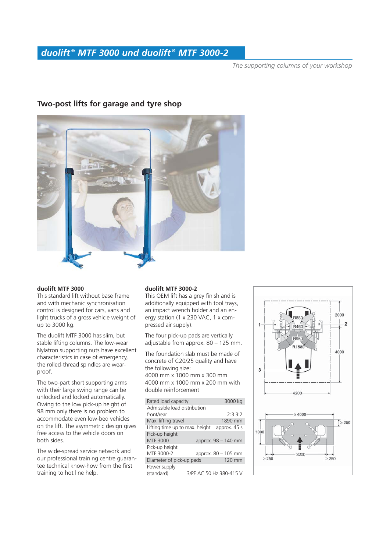*The supporting columns of your workshop*



# **Two-post lifts for garage and tyre shop**

#### **duolift MTF 3000**

This standard lift without base frame and with mechanic synchronisation control is designed for cars, vans and light trucks of a gross vehicle weight of up to 3000 kg.

The duolift MTF 3000 has slim, but stable lifting columns. The low-wear Nylatron supporting nuts have excellent characteristics in case of emergency, the rolled-thread spindles are wearproof.

The two-part short supporting arms with their large swing range can be unlocked and locked automatically. Owing to the low pick-up height of 98 mm only there is no problem to accommodate even low-bed vehicles on the lift. The asymmetric design gives free access to the vehicle doors on both sides.

The wide-spread service network and our professional training centre guarantee technical know-how from the first training to hot line help.

#### **duolift MTF 3000-2**

This OEM lift has a grey finish and is additionally equipped with tool trays, an impact wrench holder and an energy station (1 x 230 VAC, 1 x compressed air supply).

The four pick-up pads are vertically adjustable from approx. 80 – 125 mm.

The foundation slab must be made of concrete of C20/25 quality and have the following size: 4000 mm x 1000 mm x 300 mm 4000 mm x 1000 mm x 200 mm with double reinforcement

| Rated load capacity            |  | 3000 kg                 |
|--------------------------------|--|-------------------------|
| Admissible load distribution   |  |                         |
| front/rear                     |  | 2:33:2                  |
| Max. lifting travel            |  | 1890 mm                 |
| Lifting time up to max. height |  | approx. 45 s            |
| Pick-up height                 |  |                         |
| MTF 3000                       |  | approx. 98 - 140 mm     |
| Pick-up height                 |  |                         |
| MTF 3000-2                     |  | approx. 80 - 105 mm     |
| Diameter of pick-up pads       |  | 120 mm                  |
| Power supply                   |  |                         |
| (standard)                     |  | 3/PE AC 50 Hz 380-415 V |

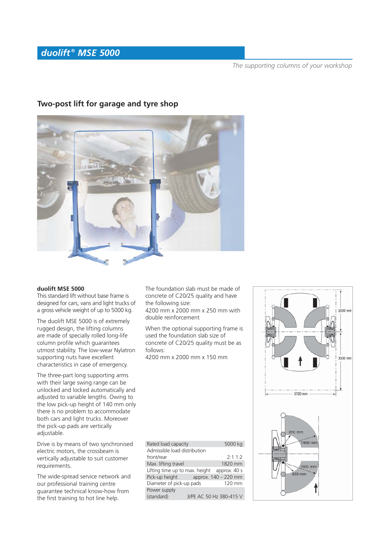# *duolift ® MSE 5000*

*The supporting columns of your workshop*



# **Two-post lift for garage and tyre shop**

#### **duolift MSE 5000**

This standard lift without base frame is designed for cars, vans and light trucks of a gross vehicle weight of up to 5000 kg.

The duolift MSE 5000 is of extremely rugged design, the lifting columns are made of specially rolled long-life column profile which quarantees utmost stability. The low-wear Nylatron supporting nuts have excellent characteristics in case of emergency.

The three-part long supporting arms with their large swing range can be unlocked and locked automatically and adjusted to variable lengths. Owing to the low pick-up height of 140 mm only there is no problem to accommodate both cars and light trucks. Moreover the pick-up pads are vertically adjustable.

Drive is by means of two synchronised electric motors, the crossbeam is vertically adjustable to suit customer requirements.

The wide-spread service network and our professional training centre guarantee technical know-how from the first training to hot line help.

The foundation slab must be made of concrete of C20/25 quality and have the following size:

4200 mm x 2000 mm x 250 mm with double reinforcement

When the optional supporting frame is used the foundation slab size of concrete of C20/25 quality must be as follows:

4200 mm x 2000 mm x 150 mm

| Rated load capacity                         |  | 5000 kg                 |  |
|---------------------------------------------|--|-------------------------|--|
| Admissible load distribution                |  |                         |  |
| front/rear                                  |  | 2:11:2                  |  |
| Max. lifting travel                         |  | 1820 mm                 |  |
| Lifting time up to max. height approx. 40 s |  |                         |  |
| Pick-up height                              |  | approx. 140 – 220 mm    |  |
| Diameter of pick-up pads                    |  | 120 mm                  |  |
| Power supply                                |  |                         |  |
| (standard)                                  |  | 3/PE AC 50 Hz 380-415 V |  |

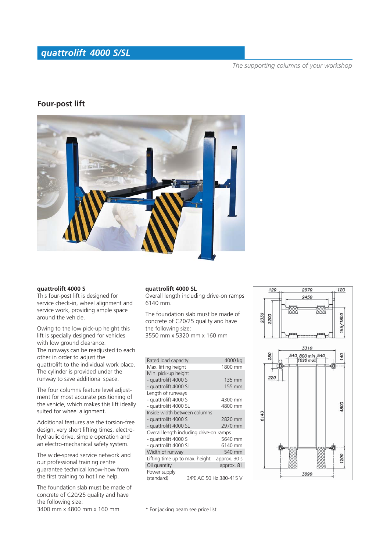# *quattrolift 4000 S/SL*

#### *The supporting columns of your workshop*

## **Four-post lift**



#### **quattrolift 4000 S**

This four-post lift is designed for service check-in, wheel alignment and service work, providing ample space around the vehicle.

Owing to the low pick-up height this lift is specially designed for vehicles with low ground clearance. The runways can be readjusted to each other in order to adjust the quattrolift to the individual work place. The cylinder is provided under the runway to save additional space.

The four columns feature level adjustment for most accurate positioning of the vehicle, which makes this lift ideally suited for wheel alignment.

Additional features are the torsion-free design, very short lifting times, electrohydraulic drive, simple operation and an electro-mechanical safety system.

The wide-spread service network and our professional training centre guarantee technical know-how from the first training to hot line help.

The foundation slab must be made of concrete of C20/25 quality and have the following size: 3400 mm x 4800 mm x 160 mm

#### **quattrolift 4000 SL**

Overall length including drive-on ramps 6140 mm.

The foundation slab must be made of concrete of C20/25 quality and have the following size: 3550 mm x 5320 mm x 160 mm

| Rated load capacity                     | 4000 kg                 |
|-----------------------------------------|-------------------------|
| Max. lifting height                     | 1800 mm                 |
| Min. pick-up height                     |                         |
| - quattrolift 4000 S                    | 135 mm                  |
| - quattrolift 4000 SL                   | 155 mm                  |
| Length of runways                       |                         |
| - quattrolift 4000 S                    | 4300 mm                 |
| - quattrolift 4000 SL                   | 4800 mm                 |
| Inside width between columns            |                         |
| - quattrolift 4000 S                    | 2820 mm                 |
| - quattrolift 4000 SL                   | 2970 mm                 |
| Overall length including drive-on ramps |                         |
| - quattrolift 4000 S                    | 5640 mm                 |
| - quattrolift 4000 SL                   | 6140 mm                 |
| Width of runway                         | 540 mm                  |
| Lifting time up to max. height          | approx. 30 s            |
| Oil quantity                            | approx. 8 l             |
| Power supply                            |                         |
| (standard)                              | 3/PE AC 50 Hz 380-415 V |



\* For jacking beam see price list